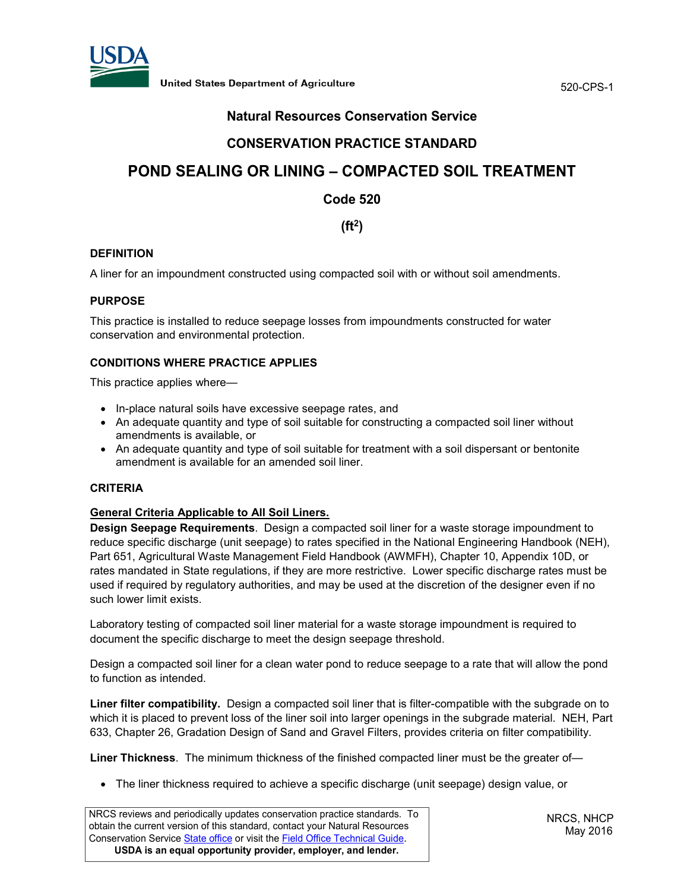

520-CPS-1

# **Natural Resources Conservation Service**

# **CONSERVATION PRACTICE STANDARD**

# **POND SEALING OR LINING – COMPACTED SOIL TREATMENT**

**Code 520**

**(ft2)** 

## **DEFINITION**

A liner for an impoundment constructed using compacted soil with or without soil amendments.

#### **PURPOSE**

This practice is installed to reduce seepage losses from impoundments constructed for water conservation and environmental protection.

## **CONDITIONS WHERE PRACTICE APPLIES**

This practice applies where—

- In-place natural soils have excessive seepage rates, and
- An adequate quantity and type of soil suitable for constructing a compacted soil liner without amendments is available, or
- An adequate quantity and type of soil suitable for treatment with a soil dispersant or bentonite amendment is available for an amended soil liner.

### **CRITERIA**

#### **General Criteria Applicable to All Soil Liners.**

**Design Seepage Requirements**. Design a compacted soil liner for a waste storage impoundment to reduce specific discharge (unit seepage) to rates specified in the National Engineering Handbook (NEH), Part 651, Agricultural Waste Management Field Handbook (AWMFH), Chapter 10, Appendix 10D, or rates mandated in State regulations, if they are more restrictive. Lower specific discharge rates must be used if required by regulatory authorities, and may be used at the discretion of the designer even if no such lower limit exists.

Laboratory testing of compacted soil liner material for a waste storage impoundment is required to document the specific discharge to meet the design seepage threshold.

Design a compacted soil liner for a clean water pond to reduce seepage to a rate that will allow the pond to function as intended.

**Liner filter compatibility.** Design a compacted soil liner that is filter-compatible with the subgrade on to which it is placed to prevent loss of the liner soil into larger openings in the subgrade material. NEH, Part 633, Chapter 26, Gradation Design of Sand and Gravel Filters, provides criteria on filter compatibility.

**Liner Thickness**. The minimum thickness of the finished compacted liner must be the greater of—

• The liner thickness required to achieve a specific discharge (unit seepage) design value, or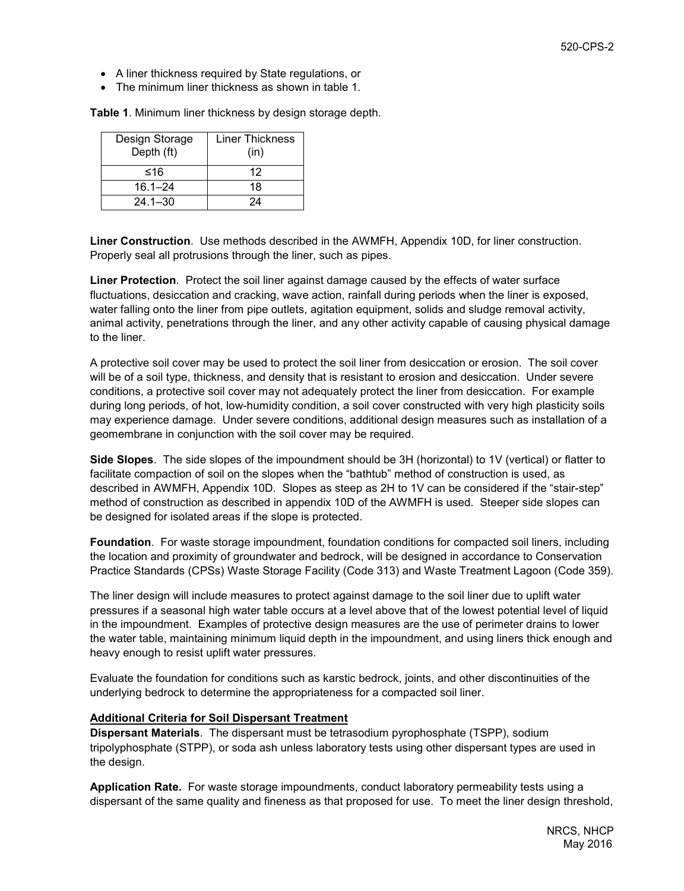- A liner thickness required by State regulations, or
- The minimum liner thickness as shown in table 1.

**Table 1**. Minimum liner thickness by design storage depth.

| Design Storage<br>Depth (ft) | <b>Liner Thickness</b><br>(in) |
|------------------------------|--------------------------------|
| ≤16                          | 12                             |
| $16.1 - 24$                  | 18                             |
| $24.1 - 30$                  | 24                             |

**Liner Construction**. Use methods described in the AWMFH, Appendix 10D, for liner construction. Properly seal all protrusions through the liner, such as pipes.

**Liner Protection**. Protect the soil liner against damage caused by the effects of water surface fluctuations, desiccation and cracking, wave action, rainfall during periods when the liner is exposed, water falling onto the liner from pipe outlets, agitation equipment, solids and sludge removal activity, animal activity, penetrations through the liner, and any other activity capable of causing physical damage to the liner.

A protective soil cover may be used to protect the soil liner from desiccation or erosion. The soil cover will be of a soil type, thickness, and density that is resistant to erosion and desiccation. Under severe conditions, a protective soil cover may not adequately protect the liner from desiccation. For example during long periods, of hot, low-humidity condition, a soil cover constructed with very high plasticity soils may experience damage. Under severe conditions, additional design measures such as installation of a geomembrane in conjunction with the soil cover may be required.

**Side Slopes**. The side slopes of the impoundment should be 3H (horizontal) to 1V (vertical) or flatter to facilitate compaction of soil on the slopes when the "bathtub" method of construction is used, as described in AWMFH, Appendix 10D. Slopes as steep as 2H to 1V can be considered if the "stair-step" method of construction as described in appendix 10D of the AWMFH is used. Steeper side slopes can be designed for isolated areas if the slope is protected.

**Foundation**. For waste storage impoundment, foundation conditions for compacted soil liners, including the location and proximity of groundwater and bedrock, will be designed in accordance to Conservation Practice Standards (CPSs) Waste Storage Facility (Code 313) and Waste Treatment Lagoon (Code 359).

The liner design will include measures to protect against damage to the soil liner due to uplift water pressures if a seasonal high water table occurs at a level above that of the lowest potential level of liquid in the impoundment. Examples of protective design measures are the use of perimeter drains to lower the water table, maintaining minimum liquid depth in the impoundment, and using liners thick enough and heavy enough to resist uplift water pressures.

Evaluate the foundation for conditions such as karstic bedrock, joints, and other discontinuities of the underlying bedrock to determine the appropriateness for a compacted soil liner.

#### **Additional Criteria for Soil Dispersant Treatment**

**Dispersant Materials**. The dispersant must be tetrasodium pyrophosphate (TSPP), sodium tripolyphosphate (STPP), or soda ash unless laboratory tests using other dispersant types are used in the design.

**Application Rate.** For waste storage impoundments, conduct laboratory permeability tests using a dispersant of the same quality and fineness as that proposed for use. To meet the liner design threshold,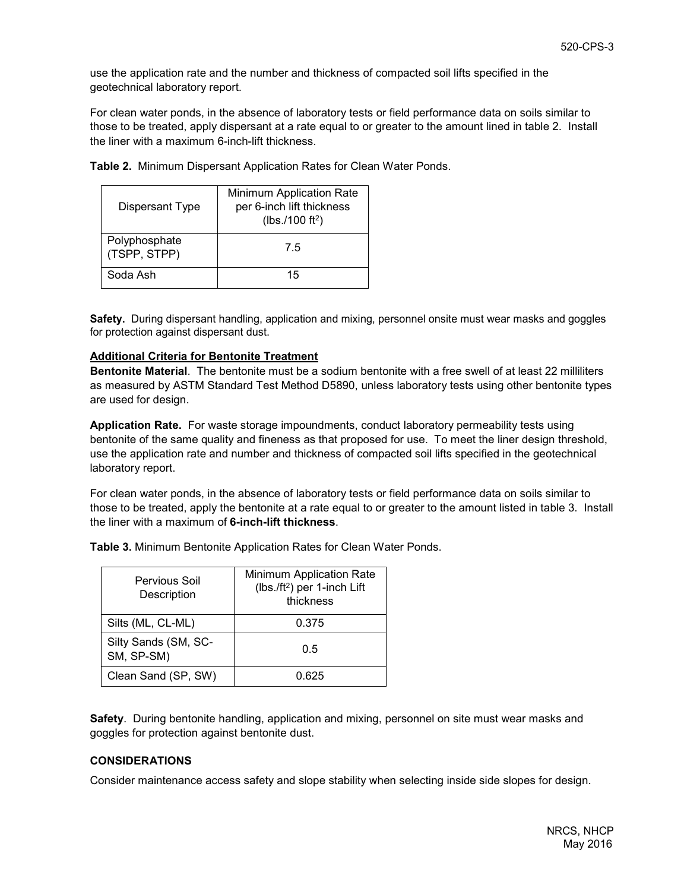use the application rate and the number and thickness of compacted soil lifts specified in the geotechnical laboratory report.

For clean water ponds, in the absence of laboratory tests or field performance data on soils similar to those to be treated, apply dispersant at a rate equal to or greater to the amount lined in table 2. Install the liner with a maximum 6-inch-lift thickness.

| Dispersant Type               | Minimum Application Rate<br>per 6-inch lift thickness<br>( $lbs./100 ft^2$ ) |
|-------------------------------|------------------------------------------------------------------------------|
| Polyphosphate<br>(TSPP, STPP) | 7.5                                                                          |
| Soda Ash                      | 15                                                                           |

**Table 2.** Minimum Dispersant Application Rates for Clean Water Ponds.

**Safety.** During dispersant handling, application and mixing, personnel onsite must wear masks and goggles for protection against dispersant dust.

#### **Additional Criteria for Bentonite Treatment**

**Bentonite Material**. The bentonite must be a sodium bentonite with a free swell of at least 22 milliliters as measured by ASTM Standard Test Method D5890, unless laboratory tests using other bentonite types are used for design.

**Application Rate.** For waste storage impoundments, conduct laboratory permeability tests using bentonite of the same quality and fineness as that proposed for use. To meet the liner design threshold, use the application rate and number and thickness of compacted soil lifts specified in the geotechnical laboratory report.

For clean water ponds, in the absence of laboratory tests or field performance data on soils similar to those to be treated, apply the bentonite at a rate equal to or greater to the amount listed in table 3. Install the liner with a maximum of **6-inch-lift thickness**.

**Table 3.** Minimum Bentonite Application Rates for Clean Water Ponds.

| Pervious Soil<br>Description       | Minimum Application Rate<br>(lbs./ft <sup>2</sup> ) per 1-inch Lift<br>thickness |
|------------------------------------|----------------------------------------------------------------------------------|
| Silts (ML, CL-ML)                  | 0.375                                                                            |
| Silty Sands (SM, SC-<br>SM, SP-SM) | 0.5                                                                              |
| Clean Sand (SP, SW)                | 0.625                                                                            |

**Safety**. During bentonite handling, application and mixing, personnel on site must wear masks and goggles for protection against bentonite dust.

#### **CONSIDERATIONS**

Consider maintenance access safety and slope stability when selecting inside side slopes for design.